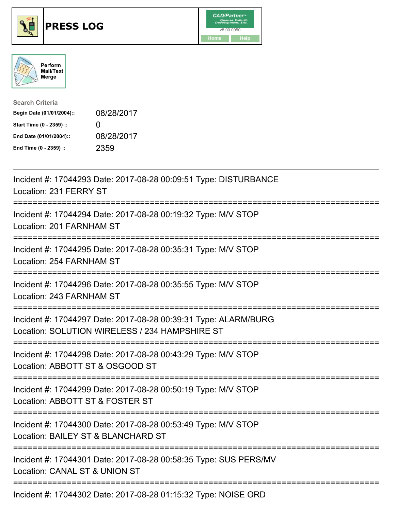





| <b>Search Criteria</b>    |              |
|---------------------------|--------------|
| Begin Date (01/01/2004):: | 08/28/2017   |
| Start Time (0 - 2359) ::  | $\mathbf{I}$ |
| End Date (01/01/2004)::   | 08/28/2017   |
| End Time (0 - 2359) ::    | 2359         |

| Incident #: 17044293 Date: 2017-08-28 00:09:51 Type: DISTURBANCE<br>Location: 231 FERRY ST                        |
|-------------------------------------------------------------------------------------------------------------------|
| Incident #: 17044294 Date: 2017-08-28 00:19:32 Type: M/V STOP<br>Location: 201 FARNHAM ST                         |
| Incident #: 17044295 Date: 2017-08-28 00:35:31 Type: M/V STOP<br>Location: 254 FARNHAM ST                         |
| Incident #: 17044296 Date: 2017-08-28 00:35:55 Type: M/V STOP<br>Location: 243 FARNHAM ST                         |
| Incident #: 17044297 Date: 2017-08-28 00:39:31 Type: ALARM/BURG<br>Location: SOLUTION WIRELESS / 234 HAMPSHIRE ST |
| Incident #: 17044298 Date: 2017-08-28 00:43:29 Type: M/V STOP<br>Location: ABBOTT ST & OSGOOD ST                  |
| Incident #: 17044299 Date: 2017-08-28 00:50:19 Type: M/V STOP<br>Location: ABBOTT ST & FOSTER ST                  |
| Incident #: 17044300 Date: 2017-08-28 00:53:49 Type: M/V STOP<br>Location: BAILEY ST & BLANCHARD ST               |
| Incident #: 17044301 Date: 2017-08-28 00:58:35 Type: SUS PERS/MV<br>Location: CANAL ST & UNION ST                 |
| $\frac{1}{2}$                                                                                                     |

Incident #: 17044302 Date: 2017-08-28 01:15:32 Type: NOISE ORD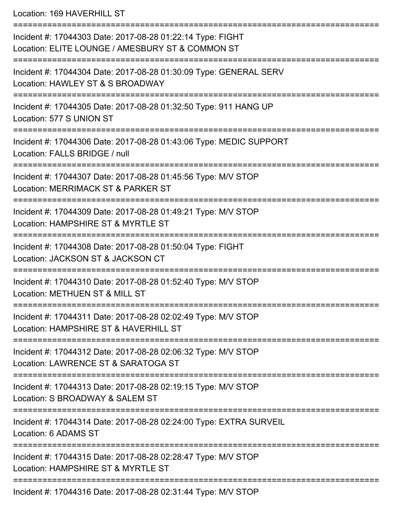Location: 169 HAVERHILL ST

| Incident #: 17044303 Date: 2017-08-28 01:22:14 Type: FIGHT<br>Location: ELITE LOUNGE / AMESBURY ST & COMMON ST |
|----------------------------------------------------------------------------------------------------------------|
| Incident #: 17044304 Date: 2017-08-28 01:30:09 Type: GENERAL SERV<br>Location: HAWLEY ST & S BROADWAY          |
| Incident #: 17044305 Date: 2017-08-28 01:32:50 Type: 911 HANG UP<br>Location: 577 S UNION ST                   |
| Incident #: 17044306 Date: 2017-08-28 01:43:06 Type: MEDIC SUPPORT<br>Location: FALLS BRIDGE / null            |
| Incident #: 17044307 Date: 2017-08-28 01:45:56 Type: M/V STOP<br>Location: MERRIMACK ST & PARKER ST            |
| Incident #: 17044309 Date: 2017-08-28 01:49:21 Type: M/V STOP<br>Location: HAMPSHIRE ST & MYRTLE ST            |
| Incident #: 17044308 Date: 2017-08-28 01:50:04 Type: FIGHT<br>Location: JACKSON ST & JACKSON CT                |
| Incident #: 17044310 Date: 2017-08-28 01:52:40 Type: M/V STOP<br>Location: METHUEN ST & MILL ST                |
| Incident #: 17044311 Date: 2017-08-28 02:02:49 Type: M/V STOP<br>Location: HAMPSHIRE ST & HAVERHILL ST         |
| Incident #: 17044312 Date: 2017-08-28 02:06:32 Type: M/V STOP<br>Location: LAWRENCE ST & SARATOGA ST           |
| Incident #: 17044313 Date: 2017-08-28 02:19:15 Type: M/V STOP<br>Location: S BROADWAY & SALEM ST               |
| Incident #: 17044314 Date: 2017-08-28 02:24:00 Type: EXTRA SURVEIL<br>Location: 6 ADAMS ST                     |
| Incident #: 17044315 Date: 2017-08-28 02:28:47 Type: M/V STOP<br>Location: HAMPSHIRE ST & MYRTLE ST            |
| Incident #: 17044316 Date: 2017-08-28 02:31:44 Type: M/V STOP                                                  |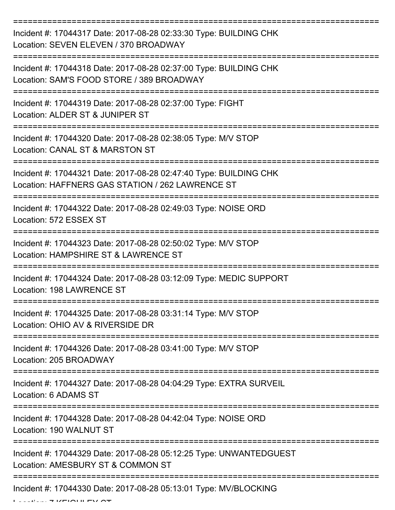| Incident #: 17044317 Date: 2017-08-28 02:33:30 Type: BUILDING CHK<br>Location: SEVEN ELEVEN / 370 BROADWAY                                  |
|---------------------------------------------------------------------------------------------------------------------------------------------|
| Incident #: 17044318 Date: 2017-08-28 02:37:00 Type: BUILDING CHK<br>Location: SAM'S FOOD STORE / 389 BROADWAY                              |
| Incident #: 17044319 Date: 2017-08-28 02:37:00 Type: FIGHT<br>Location: ALDER ST & JUNIPER ST                                               |
| Incident #: 17044320 Date: 2017-08-28 02:38:05 Type: M/V STOP<br>Location: CANAL ST & MARSTON ST                                            |
| Incident #: 17044321 Date: 2017-08-28 02:47:40 Type: BUILDING CHK<br>Location: HAFFNERS GAS STATION / 262 LAWRENCE ST<br>================== |
| Incident #: 17044322 Date: 2017-08-28 02:49:03 Type: NOISE ORD<br>Location: 572 ESSEX ST                                                    |
| Incident #: 17044323 Date: 2017-08-28 02:50:02 Type: M/V STOP<br>Location: HAMPSHIRE ST & LAWRENCE ST                                       |
| Incident #: 17044324 Date: 2017-08-28 03:12:09 Type: MEDIC SUPPORT<br>Location: 198 LAWRENCE ST                                             |
| Incident #: 17044325 Date: 2017-08-28 03:31:14 Type: M/V STOP<br>Location: OHIO AV & RIVERSIDE DR                                           |
| Incident #: 17044326 Date: 2017-08-28 03:41:00 Type: M/V STOP<br>Location: 205 BROADWAY                                                     |
| Incident #: 17044327 Date: 2017-08-28 04:04:29 Type: EXTRA SURVEIL<br>Location: 6 ADAMS ST<br>==================                            |
| Incident #: 17044328 Date: 2017-08-28 04:42:04 Type: NOISE ORD<br>Location: 190 WALNUT ST                                                   |
| Incident #: 17044329 Date: 2017-08-28 05:12:25 Type: UNWANTEDGUEST<br>Location: AMESBURY ST & COMMON ST                                     |
| Incident #: 17044330 Date: 2017-08-28 05:13:01 Type: MV/BLOCKING                                                                            |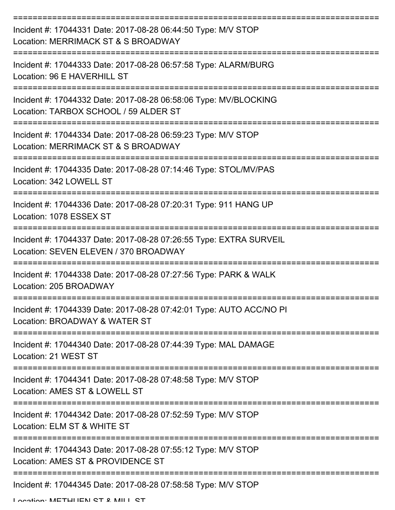| Incident #: 17044331 Date: 2017-08-28 06:44:50 Type: M/V STOP<br>Location: MERRIMACK ST & S BROADWAY        |
|-------------------------------------------------------------------------------------------------------------|
| Incident #: 17044333 Date: 2017-08-28 06:57:58 Type: ALARM/BURG<br>Location: 96 E HAVERHILL ST              |
| Incident #: 17044332 Date: 2017-08-28 06:58:06 Type: MV/BLOCKING<br>Location: TARBOX SCHOOL / 59 ALDER ST   |
| Incident #: 17044334 Date: 2017-08-28 06:59:23 Type: M/V STOP<br>Location: MERRIMACK ST & S BROADWAY        |
| Incident #: 17044335 Date: 2017-08-28 07:14:46 Type: STOL/MV/PAS<br>Location: 342 LOWELL ST                 |
| Incident #: 17044336 Date: 2017-08-28 07:20:31 Type: 911 HANG UP<br>Location: 1078 ESSEX ST                 |
| Incident #: 17044337 Date: 2017-08-28 07:26:55 Type: EXTRA SURVEIL<br>Location: SEVEN ELEVEN / 370 BROADWAY |
| Incident #: 17044338 Date: 2017-08-28 07:27:56 Type: PARK & WALK<br>Location: 205 BROADWAY                  |
| Incident #: 17044339 Date: 2017-08-28 07:42:01 Type: AUTO ACC/NO PI<br>Location: BROADWAY & WATER ST        |
| Incident #: 17044340 Date: 2017-08-28 07:44:39 Type: MAL DAMAGE<br>Location: 21 WEST ST                     |
| Incident #: 17044341 Date: 2017-08-28 07:48:58 Type: M/V STOP<br>Location: AMES ST & LOWELL ST              |
| Incident #: 17044342 Date: 2017-08-28 07:52:59 Type: M/V STOP<br>Location: ELM ST & WHITE ST                |
| Incident #: 17044343 Date: 2017-08-28 07:55:12 Type: M/V STOP<br>Location: AMES ST & PROVIDENCE ST          |
| Incident #: 17044345 Date: 2017-08-28 07:58:58 Type: M/V STOP                                               |

Location: METHUEN ST & MILL ST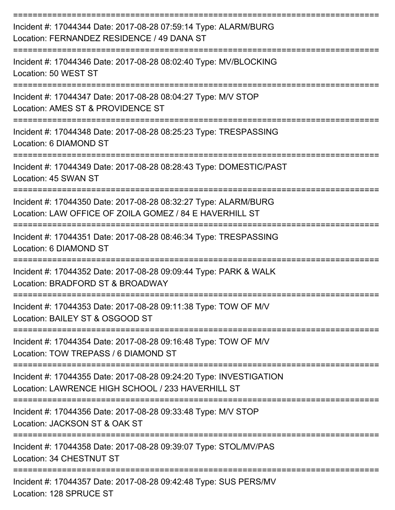| Incident #: 17044344 Date: 2017-08-28 07:59:14 Type: ALARM/BURG<br>Location: FERNANDEZ RESIDENCE / 49 DANA ST              |
|----------------------------------------------------------------------------------------------------------------------------|
| Incident #: 17044346 Date: 2017-08-28 08:02:40 Type: MV/BLOCKING<br>Location: 50 WEST ST                                   |
| Incident #: 17044347 Date: 2017-08-28 08:04:27 Type: M/V STOP<br>Location: AMES ST & PROVIDENCE ST                         |
| Incident #: 17044348 Date: 2017-08-28 08:25:23 Type: TRESPASSING<br>Location: 6 DIAMOND ST                                 |
| Incident #: 17044349 Date: 2017-08-28 08:28:43 Type: DOMESTIC/PAST<br>Location: 45 SWAN ST                                 |
| Incident #: 17044350 Date: 2017-08-28 08:32:27 Type: ALARM/BURG<br>Location: LAW OFFICE OF ZOILA GOMEZ / 84 E HAVERHILL ST |
| Incident #: 17044351 Date: 2017-08-28 08:46:34 Type: TRESPASSING<br>Location: 6 DIAMOND ST<br>=============                |
| Incident #: 17044352 Date: 2017-08-28 09:09:44 Type: PARK & WALK<br>Location: BRADFORD ST & BROADWAY                       |
| Incident #: 17044353 Date: 2017-08-28 09:11:38 Type: TOW OF M/V<br>Location: BAILEY ST & OSGOOD ST                         |
| Incident #: 17044354 Date: 2017-08-28 09:16:48 Type: TOW OF M/V<br>Location: TOW TREPASS / 6 DIAMOND ST                    |
| Incident #: 17044355 Date: 2017-08-28 09:24:20 Type: INVESTIGATION<br>Location: LAWRENCE HIGH SCHOOL / 233 HAVERHILL ST    |
| Incident #: 17044356 Date: 2017-08-28 09:33:48 Type: M/V STOP<br>Location: JACKSON ST & OAK ST                             |
| Incident #: 17044358 Date: 2017-08-28 09:39:07 Type: STOL/MV/PAS<br>Location: 34 CHESTNUT ST                               |
| Incident #: 17044357 Date: 2017-08-28 09:42:48 Type: SUS PERS/MV<br>Location: 128 SPRUCE ST                                |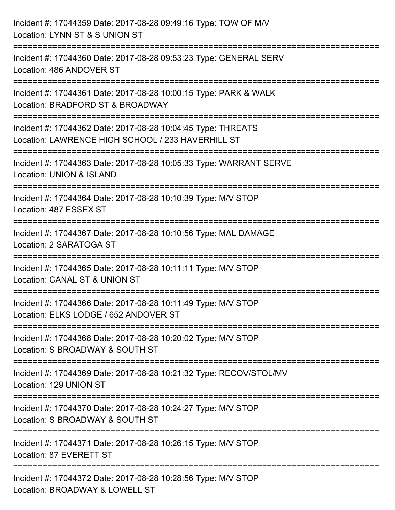| Incident #: 17044359 Date: 2017-08-28 09:49:16 Type: TOW OF M/V<br>Location: LYNN ST & S UNION ST                                            |
|----------------------------------------------------------------------------------------------------------------------------------------------|
| Incident #: 17044360 Date: 2017-08-28 09:53:23 Type: GENERAL SERV<br>Location: 486 ANDOVER ST<br>---------------------------------           |
| Incident #: 17044361 Date: 2017-08-28 10:00:15 Type: PARK & WALK<br>Location: BRADFORD ST & BROADWAY                                         |
| Incident #: 17044362 Date: 2017-08-28 10:04:45 Type: THREATS<br>Location: LAWRENCE HIGH SCHOOL / 233 HAVERHILL ST<br>:====================== |
| Incident #: 17044363 Date: 2017-08-28 10:05:33 Type: WARRANT SERVE<br>Location: UNION & ISLAND                                               |
| Incident #: 17044364 Date: 2017-08-28 10:10:39 Type: M/V STOP<br>Location: 487 ESSEX ST                                                      |
| =======================<br>Incident #: 17044367 Date: 2017-08-28 10:10:56 Type: MAL DAMAGE<br>Location: 2 SARATOGA ST                        |
| Incident #: 17044365 Date: 2017-08-28 10:11:11 Type: M/V STOP<br>Location: CANAL ST & UNION ST                                               |
| Incident #: 17044366 Date: 2017-08-28 10:11:49 Type: M/V STOP<br>Location: ELKS LODGE / 652 ANDOVER ST                                       |
| Incident #: 17044368 Date: 2017-08-28 10:20:02 Type: M/V STOP<br>Location: S BROADWAY & SOUTH ST                                             |
| Incident #: 17044369 Date: 2017-08-28 10:21:32 Type: RECOV/STOL/MV<br>Location: 129 UNION ST                                                 |
| Incident #: 17044370 Date: 2017-08-28 10:24:27 Type: M/V STOP<br>Location: S BROADWAY & SOUTH ST                                             |
| Incident #: 17044371 Date: 2017-08-28 10:26:15 Type: M/V STOP<br>Location: 87 EVERETT ST                                                     |
| Incident #: 17044372 Date: 2017-08-28 10:28:56 Type: M/V STOP<br>Location: BROADWAY & LOWELL ST                                              |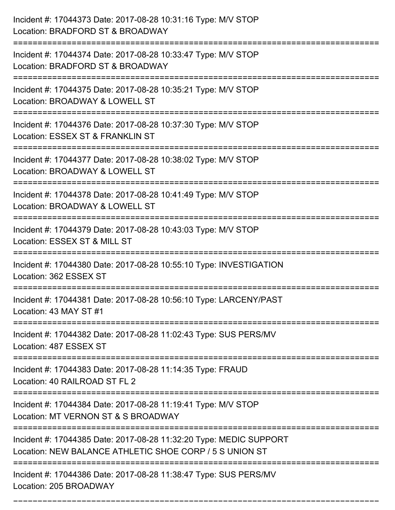| Incident #: 17044373 Date: 2017-08-28 10:31:16 Type: M/V STOP<br>Location: BRADFORD ST & BROADWAY                                |
|----------------------------------------------------------------------------------------------------------------------------------|
| Incident #: 17044374 Date: 2017-08-28 10:33:47 Type: M/V STOP<br>Location: BRADFORD ST & BROADWAY                                |
| Incident #: 17044375 Date: 2017-08-28 10:35:21 Type: M/V STOP<br>Location: BROADWAY & LOWELL ST<br>:============================ |
| Incident #: 17044376 Date: 2017-08-28 10:37:30 Type: M/V STOP<br>Location: ESSEX ST & FRANKLIN ST                                |
| Incident #: 17044377 Date: 2017-08-28 10:38:02 Type: M/V STOP<br>Location: BROADWAY & LOWELL ST                                  |
| Incident #: 17044378 Date: 2017-08-28 10:41:49 Type: M/V STOP<br>Location: BROADWAY & LOWELL ST                                  |
| Incident #: 17044379 Date: 2017-08-28 10:43:03 Type: M/V STOP<br>Location: ESSEX ST & MILL ST                                    |
| Incident #: 17044380 Date: 2017-08-28 10:55:10 Type: INVESTIGATION<br>Location: 362 ESSEX ST                                     |
| Incident #: 17044381 Date: 2017-08-28 10:56:10 Type: LARCENY/PAST<br>Location: 43 MAY ST #1                                      |
| Incident #: 17044382 Date: 2017-08-28 11:02:43 Type: SUS PERS/MV<br>Location: 487 ESSEX ST                                       |
| Incident #: 17044383 Date: 2017-08-28 11:14:35 Type: FRAUD<br>Location: 40 RAILROAD ST FL 2                                      |
| Incident #: 17044384 Date: 2017-08-28 11:19:41 Type: M/V STOP<br>Location: MT VERNON ST & S BROADWAY                             |
| Incident #: 17044385 Date: 2017-08-28 11:32:20 Type: MEDIC SUPPORT<br>Location: NEW BALANCE ATHLETIC SHOE CORP / 5 S UNION ST    |
| Incident #: 17044386 Date: 2017-08-28 11:38:47 Type: SUS PERS/MV<br>Location: 205 BROADWAY                                       |

===========================================================================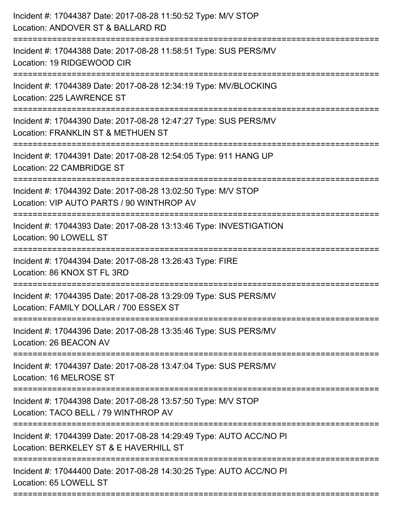| Incident #: 17044387 Date: 2017-08-28 11:50:52 Type: M/V STOP<br>Location: ANDOVER ST & BALLARD RD                                  |
|-------------------------------------------------------------------------------------------------------------------------------------|
| :========================<br>Incident #: 17044388 Date: 2017-08-28 11:58:51 Type: SUS PERS/MV<br>Location: 19 RIDGEWOOD CIR         |
| Incident #: 17044389 Date: 2017-08-28 12:34:19 Type: MV/BLOCKING<br>Location: 225 LAWRENCE ST<br>======================             |
| Incident #: 17044390 Date: 2017-08-28 12:47:27 Type: SUS PERS/MV<br>Location: FRANKLIN ST & METHUEN ST                              |
| Incident #: 17044391 Date: 2017-08-28 12:54:05 Type: 911 HANG UP<br>Location: 22 CAMBRIDGE ST                                       |
| Incident #: 17044392 Date: 2017-08-28 13:02:50 Type: M/V STOP<br>Location: VIP AUTO PARTS / 90 WINTHROP AV<br>:==================== |
| Incident #: 17044393 Date: 2017-08-28 13:13:46 Type: INVESTIGATION<br>Location: 90 LOWELL ST<br>------------------------------      |
| Incident #: 17044394 Date: 2017-08-28 13:26:43 Type: FIRE<br>Location: 86 KNOX ST FL 3RD                                            |
| Incident #: 17044395 Date: 2017-08-28 13:29:09 Type: SUS PERS/MV<br>Location: FAMILY DOLLAR / 700 ESSEX ST                          |
| Incident #: 17044396 Date: 2017-08-28 13:35:46 Type: SUS PERS/MV<br>Location: 26 BEACON AV                                          |
| Incident #: 17044397 Date: 2017-08-28 13:47:04 Type: SUS PERS/MV<br>Location: 16 MELROSE ST                                         |
| Incident #: 17044398 Date: 2017-08-28 13:57:50 Type: M/V STOP<br>Location: TACO BELL / 79 WINTHROP AV                               |
| Incident #: 17044399 Date: 2017-08-28 14:29:49 Type: AUTO ACC/NO PI<br>Location: BERKELEY ST & E HAVERHILL ST                       |
| Incident #: 17044400 Date: 2017-08-28 14:30:25 Type: AUTO ACC/NO PI<br>Location: 65 LOWELL ST                                       |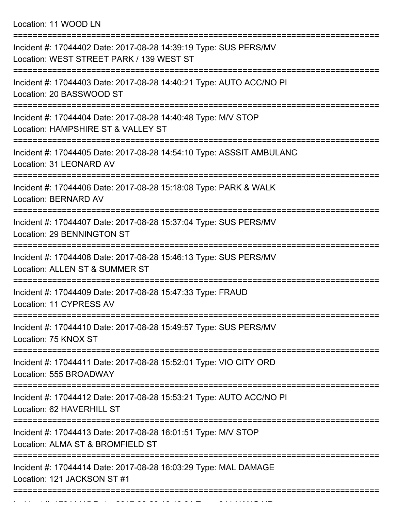Location: 11 WOOD LN

| Incident #: 17044402 Date: 2017-08-28 14:39:19 Type: SUS PERS/MV<br>Location: WEST STREET PARK / 139 WEST ST           |
|------------------------------------------------------------------------------------------------------------------------|
| Incident #: 17044403 Date: 2017-08-28 14:40:21 Type: AUTO ACC/NO PI<br>Location: 20 BASSWOOD ST                        |
| Incident #: 17044404 Date: 2017-08-28 14:40:48 Type: M/V STOP<br>Location: HAMPSHIRE ST & VALLEY ST                    |
| Incident #: 17044405 Date: 2017-08-28 14:54:10 Type: ASSSIT AMBULANC<br>Location: 31 LEONARD AV                        |
| Incident #: 17044406 Date: 2017-08-28 15:18:08 Type: PARK & WALK<br><b>Location: BERNARD AV</b>                        |
| Incident #: 17044407 Date: 2017-08-28 15:37:04 Type: SUS PERS/MV<br>Location: 29 BENNINGTON ST                         |
| Incident #: 17044408 Date: 2017-08-28 15:46:13 Type: SUS PERS/MV<br>Location: ALLEN ST & SUMMER ST                     |
| Incident #: 17044409 Date: 2017-08-28 15:47:33 Type: FRAUD<br>Location: 11 CYPRESS AV                                  |
| Incident #: 17044410 Date: 2017-08-28 15:49:57 Type: SUS PERS/MV<br>Location: 75 KNOX ST                               |
| =======================<br>Incident #: 17044411 Date: 2017-08-28 15:52:01 Type: VIO CITY ORD<br>Location: 555 BROADWAY |
| Incident #: 17044412 Date: 2017-08-28 15:53:21 Type: AUTO ACC/NO PI<br>Location: 62 HAVERHILL ST                       |
| Incident #: 17044413 Date: 2017-08-28 16:01:51 Type: M/V STOP<br>Location: ALMA ST & BROMFIELD ST                      |
| Incident #: 17044414 Date: 2017-08-28 16:03:29 Type: MAL DAMAGE<br>Location: 121 JACKSON ST #1                         |
|                                                                                                                        |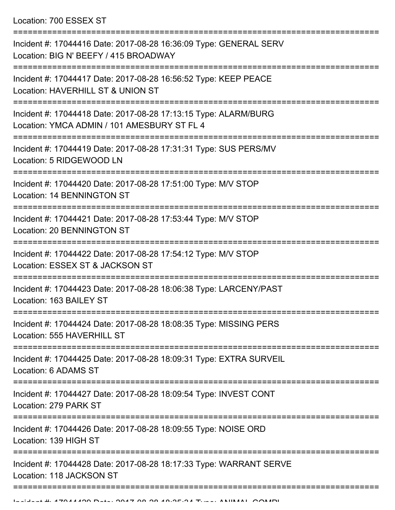Location: 700 ESSEX ST

| Incident #: 17044416 Date: 2017-08-28 16:36:09 Type: GENERAL SERV<br>Location: BIG N' BEEFY / 415 BROADWAY         |
|--------------------------------------------------------------------------------------------------------------------|
| Incident #: 17044417 Date: 2017-08-28 16:56:52 Type: KEEP PEACE<br>Location: HAVERHILL ST & UNION ST               |
| Incident #: 17044418 Date: 2017-08-28 17:13:15 Type: ALARM/BURG<br>Location: YMCA ADMIN / 101 AMESBURY ST FL 4     |
| Incident #: 17044419 Date: 2017-08-28 17:31:31 Type: SUS PERS/MV<br>Location: 5 RIDGEWOOD LN                       |
| Incident #: 17044420 Date: 2017-08-28 17:51:00 Type: M/V STOP<br><b>Location: 14 BENNINGTON ST</b>                 |
| Incident #: 17044421 Date: 2017-08-28 17:53:44 Type: M/V STOP<br>Location: 20 BENNINGTON ST                        |
| Incident #: 17044422 Date: 2017-08-28 17:54:12 Type: M/V STOP<br>Location: ESSEX ST & JACKSON ST                   |
| Incident #: 17044423 Date: 2017-08-28 18:06:38 Type: LARCENY/PAST<br>Location: 163 BAILEY ST                       |
| Incident #: 17044424 Date: 2017-08-28 18:08:35 Type: MISSING PERS<br>Location: 555 HAVERHILL ST<br>--------------- |
| Incident #: 17044425 Date: 2017-08-28 18:09:31 Type: EXTRA SURVEIL<br>Location: 6 ADAMS ST                         |
| Incident #: 17044427 Date: 2017-08-28 18:09:54 Type: INVEST CONT<br>Location: 279 PARK ST                          |
| Incident #: 17044426 Date: 2017-08-28 18:09:55 Type: NOISE ORD<br>Location: 139 HIGH ST                            |
| Incident #: 17044428 Date: 2017-08-28 18:17:33 Type: WARRANT SERVE<br>Location: 118 JACKSON ST                     |
|                                                                                                                    |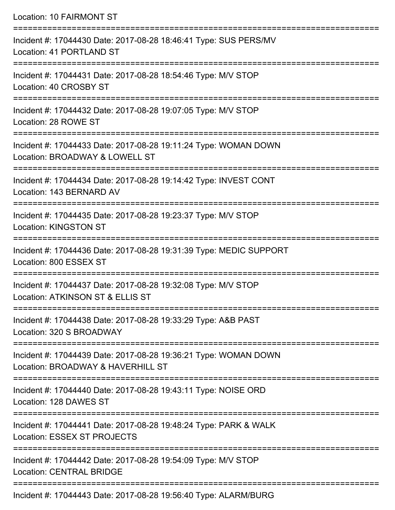| Location: 10 FAIRMONT ST                                                                                                           |
|------------------------------------------------------------------------------------------------------------------------------------|
| Incident #: 17044430 Date: 2017-08-28 18:46:41 Type: SUS PERS/MV<br>Location: 41 PORTLAND ST                                       |
| Incident #: 17044431 Date: 2017-08-28 18:54:46 Type: M/V STOP<br>Location: 40 CROSBY ST                                            |
| Incident #: 17044432 Date: 2017-08-28 19:07:05 Type: M/V STOP<br>Location: 28 ROWE ST                                              |
| Incident #: 17044433 Date: 2017-08-28 19:11:24 Type: WOMAN DOWN<br>Location: BROADWAY & LOWELL ST                                  |
| Incident #: 17044434 Date: 2017-08-28 19:14:42 Type: INVEST CONT<br>Location: 143 BERNARD AV                                       |
| Incident #: 17044435 Date: 2017-08-28 19:23:37 Type: M/V STOP<br><b>Location: KINGSTON ST</b>                                      |
| Incident #: 17044436 Date: 2017-08-28 19:31:39 Type: MEDIC SUPPORT<br>Location: 800 ESSEX ST                                       |
| ========================<br>Incident #: 17044437 Date: 2017-08-28 19:32:08 Type: M/V STOP<br>Location: ATKINSON ST & ELLIS ST      |
| -------------------------------------<br>Incident #: 17044438 Date: 2017-08-28 19:33:29 Type: A&B PAST<br>Location: 320 S BROADWAY |
| --------------<br>Incident #: 17044439 Date: 2017-08-28 19:36:21 Type: WOMAN DOWN<br>Location: BROADWAY & HAVERHILL ST             |
| Incident #: 17044440 Date: 2017-08-28 19:43:11 Type: NOISE ORD<br>Location: 128 DAWES ST                                           |
| Incident #: 17044441 Date: 2017-08-28 19:48:24 Type: PARK & WALK<br>Location: ESSEX ST PROJECTS                                    |
| Incident #: 17044442 Date: 2017-08-28 19:54:09 Type: M/V STOP<br><b>Location: CENTRAL BRIDGE</b>                                   |
| $Inoidont # 170111112 Data: 2017.00.20.40.Ec.10. Two. All ADIM/DIDC$                                                               |

Incident #: 17044443 Date: 2017-08-28 19:56:40 Type: ALARM/BURG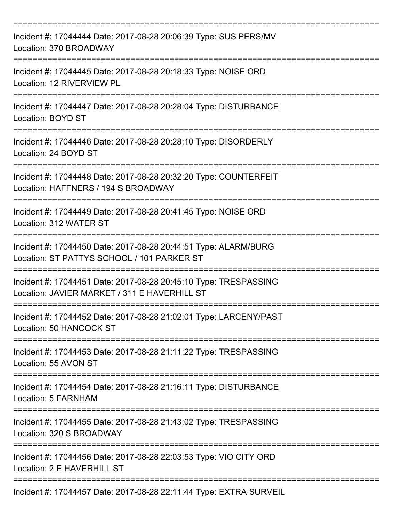| Incident #: 17044444 Date: 2017-08-28 20:06:39 Type: SUS PERS/MV<br>Location: 370 BROADWAY                                    |
|-------------------------------------------------------------------------------------------------------------------------------|
| Incident #: 17044445 Date: 2017-08-28 20:18:33 Type: NOISE ORD<br>Location: 12 RIVERVIEW PL                                   |
| Incident #: 17044447 Date: 2017-08-28 20:28:04 Type: DISTURBANCE<br>Location: BOYD ST                                         |
| Incident #: 17044446 Date: 2017-08-28 20:28:10 Type: DISORDERLY<br>Location: 24 BOYD ST                                       |
| ------------------<br>Incident #: 17044448 Date: 2017-08-28 20:32:20 Type: COUNTERFEIT<br>Location: HAFFNERS / 194 S BROADWAY |
| Incident #: 17044449 Date: 2017-08-28 20:41:45 Type: NOISE ORD<br>Location: 312 WATER ST                                      |
| Incident #: 17044450 Date: 2017-08-28 20:44:51 Type: ALARM/BURG<br>Location: ST PATTYS SCHOOL / 101 PARKER ST                 |
| Incident #: 17044451 Date: 2017-08-28 20:45:10 Type: TRESPASSING<br>Location: JAVIER MARKET / 311 E HAVERHILL ST              |
| Incident #: 17044452 Date: 2017-08-28 21:02:01 Type: LARCENY/PAST<br>Location: 50 HANCOCK ST                                  |
| Incident #: 17044453 Date: 2017-08-28 21:11:22 Type: TRESPASSING<br>Location: 55 AVON ST                                      |
| Incident #: 17044454 Date: 2017-08-28 21:16:11 Type: DISTURBANCE<br>Location: 5 FARNHAM                                       |
| Incident #: 17044455 Date: 2017-08-28 21:43:02 Type: TRESPASSING<br>Location: 320 S BROADWAY                                  |
| Incident #: 17044456 Date: 2017-08-28 22:03:53 Type: VIO CITY ORD<br>Location: 2 E HAVERHILL ST                               |
| Incident #: 17044457 Date: 2017-08-28 22:11:44 Type: EXTRA SURVEIL                                                            |